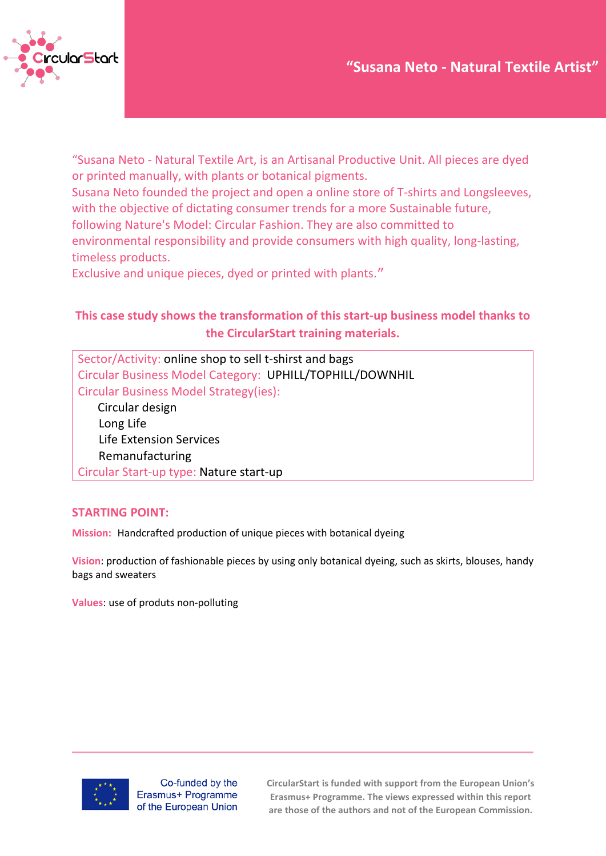

"Susana Neto - Natural Textile Art, is an Artisanal Productive Unit. All pieces are dyed or printed manually, with plants or botanical pigments.

Susana Neto founded the project and open a online store of T-shirts and Longsleeves, with the objective of dictating consumer trends for a more Sustainable future,

following Nature's Model: Circular Fashion. They are also committed to

environmental responsibility and provide consumers with high quality, long-lasting, timeless products.

Exclusive and unique pieces, dyed or printed with plants."

## **This case study shows the transformation of this start-up business model thanks to the CircularStart training materials.**

Sector/Activity: online shop to sell t-shirst and bags Circular Business Model Category: UPHILL/TOPHILL/DOWNHIL Circular Business Model Strategy(ies):

 Circular design Long Life Life Extension Services Remanufacturing Circular Start-up type: Nature start-up

### **STARTING POINT:**

**Mission:** Handcrafted production of unique pieces with botanical dyeing

**Vision**: production of fashionable pieces by using only botanical dyeing, such as skirts, blouses, handy bags and sweaters

**Values**: use of produts non-polluting



Co-funded by the Erasmus+ Programme of the European Union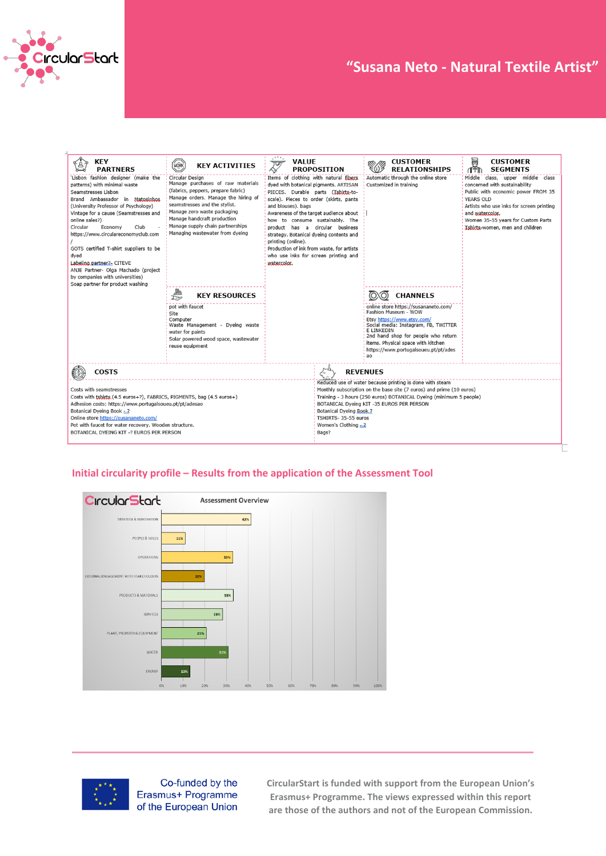

# **Case Study – "Title" "Susana Neto - Natural Textile Artist"**

| <b>KEY</b><br><b>PARTNERS</b>                                                                                                                                                                                                                                                                                                                                                                                                                                                                     | HORK<br><b>KEY ACTIVITIES</b>                                                                                                                                                                                                                                                                           | $\cdots$<br>VALUE<br>Ţ<br><b>PROPOSITION</b>                                                                                                                                                                                                                                                                                                                                                                                                                              | <b>CUSTOMER</b><br><b>RELATIONSHIPS</b>                                                                                                                                                                                                                                                                                         | in<br>195<br><b>CUSTOMER</b><br><b>SEGMENTS</b>                                                                                                                                                                                                                            |  |
|---------------------------------------------------------------------------------------------------------------------------------------------------------------------------------------------------------------------------------------------------------------------------------------------------------------------------------------------------------------------------------------------------------------------------------------------------------------------------------------------------|---------------------------------------------------------------------------------------------------------------------------------------------------------------------------------------------------------------------------------------------------------------------------------------------------------|---------------------------------------------------------------------------------------------------------------------------------------------------------------------------------------------------------------------------------------------------------------------------------------------------------------------------------------------------------------------------------------------------------------------------------------------------------------------------|---------------------------------------------------------------------------------------------------------------------------------------------------------------------------------------------------------------------------------------------------------------------------------------------------------------------------------|----------------------------------------------------------------------------------------------------------------------------------------------------------------------------------------------------------------------------------------------------------------------------|--|
| 'Lisbon fashion designer (make the<br>patterns) with minimal waste<br>Seamstresses Lisbon<br>Brand Ambassador in Matosinhos<br>(University Professor of Psychology)<br>Vintage for a cause (Seamstresses and<br>online sales?)<br>Circular<br>Economy<br>Club<br>https://www.circulareconomyclub.com<br>GOTS certified T-shirt suppliers to be<br>dyed<br>Labeling partner?- CITEVE<br>ANJE Partner- Olga Machado (project<br>by companies with universities)<br>Soap partner for product washing | Circular Design<br>Manage purchases of raw materials<br>(fabrics, peppers, prepare fabric)<br>Manage orders. Manage the hiring of<br>seamstresses and the stylist.<br>Manage zero waste packaging<br>Manage handcraft production<br>Manage supply chain partnerships<br>Managing wastewater from dyeing | Items of clothing with natural fibers<br>dyed with botanical pigments. ARTISAN<br>PIECES. Durable parts (Jshirts-to-<br>scale). Pieces to order (skirts, pants<br>and blouses), bags<br>Awareness of the target audience about<br>how to consume sustainably. The<br>product has a circular business<br>strategy. Botanical dyeing contents and<br>printing (online).<br>Production of ink from waste, for artists<br>who use inks for screen printing and<br>watercolor. | Automatic through the online store<br>Customized in training                                                                                                                                                                                                                                                                    | Middle class, upper middle class<br>concerned with sustainability<br>Public with economic power FROM 35<br><b>YEARS OLD</b><br>Artists who use inks for screen printing<br>and watercolor.<br>Women 35-55 years for Custom Parts<br><b>Ishirts-women, men and children</b> |  |
|                                                                                                                                                                                                                                                                                                                                                                                                                                                                                                   | 鶗<br><b>KEY RESOURCES</b><br>$\overline{\mathbb{P}^2}$                                                                                                                                                                                                                                                  |                                                                                                                                                                                                                                                                                                                                                                                                                                                                           | <b>CHANNELS</b><br>(O)                                                                                                                                                                                                                                                                                                          |                                                                                                                                                                                                                                                                            |  |
|                                                                                                                                                                                                                                                                                                                                                                                                                                                                                                   | pot with faucet<br>Site<br>Computer<br>Waste Management - Dyeing waste<br>water for paints<br>Solar powered wood space, wastewater<br>reuse equipment                                                                                                                                                   |                                                                                                                                                                                                                                                                                                                                                                                                                                                                           | online store https://susananeto.com/<br>Fashion Museum - WOW<br>Etsy https://www.etsy.com/<br>Social media: Instagram, FB, TWITTER<br>E LINKEDIN<br>2nd hand shop for people who return<br>items. Physical space with kitchen<br>https://www.portugalsoueu.pt/pt/ades<br>ao                                                     |                                                                                                                                                                                                                                                                            |  |
| <b>COSTS</b>                                                                                                                                                                                                                                                                                                                                                                                                                                                                                      |                                                                                                                                                                                                                                                                                                         | ん                                                                                                                                                                                                                                                                                                                                                                                                                                                                         | <b>REVENUES</b>                                                                                                                                                                                                                                                                                                                 |                                                                                                                                                                                                                                                                            |  |
| Costs with seamstresses<br>Costs with tshirts (4.5 euros+?), FABRICS, PIGMENTS, bag (4.5 euros+)<br>Adhesion costs: https://www.portugalsoueu.pt/pt/adesao<br>Botanical Dyeing Book - 2<br>Online store https://susananeto.com/<br>Pot with faucet for water recovery. Wooden structure.<br>BOTANICAL DYEING KIT -? EUROS PER PERSON                                                                                                                                                              |                                                                                                                                                                                                                                                                                                         | Bags?                                                                                                                                                                                                                                                                                                                                                                                                                                                                     | Reduced use of water because printing is done with steam<br>Monthly subscription on the base site (7 euros) and prime (10 euros)<br>Training - 3 hours (250 euros) BOTANICAL Dyeing (minimum 5 people)<br>BOTANICAL Dyeing KIT -35 EUROS PER PERSON<br>Botanical Dyeing Book ?<br>TSHIRTS- 35-55 euros<br>Women's Clothing $-2$ |                                                                                                                                                                                                                                                                            |  |

#### **Initial circularity profile – Results from the application of the Assessment Tool**





Co-funded by the Erasmus+ Programme of the European Union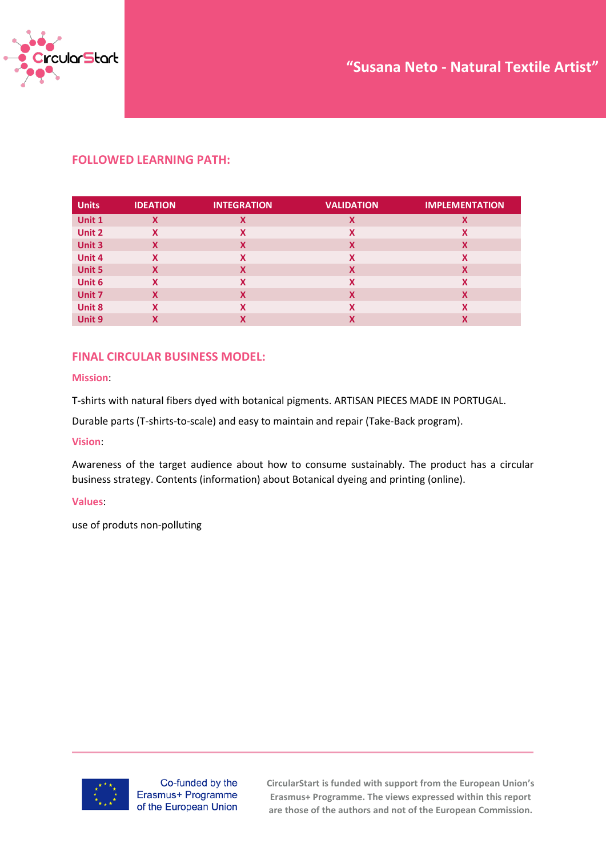

### **FOLLOWED LEARNING PATH:**

| <b>Units</b>  | <b>IDEATION</b> | <b>INTEGRATION</b>        | <b>VALIDATION</b> | <b>IMPLEMENTATION</b> |
|---------------|-----------------|---------------------------|-------------------|-----------------------|
| Unit 1        | X               | Χ                         | X                 | Χ                     |
| Unit 2        | x               | Χ                         | X                 | X                     |
| Unit 3        | $\mathbf x$     | $\boldsymbol{\mathsf{x}}$ | X                 | X                     |
| Unit 4        | X               | X                         | X                 | X                     |
| <b>Unit 5</b> | X               | X                         | X                 | X                     |
| Unit 6        | X               | X                         | X                 | X                     |
| Unit 7        | X               | X                         | X                 | X                     |
| <b>Unit 8</b> | x               | X                         | X                 | x                     |
| Unit 9        | v               | Χ                         | χ                 | Χ                     |

### **FINAL CIRCULAR BUSINESS MODEL:**

#### **Mission**:

T-shirts with natural fibers dyed with botanical pigments. ARTISAN PIECES MADE IN PORTUGAL.

Durable parts (T-shirts-to-scale) and easy to maintain and repair (Take-Back program).

#### **Vision**:

Awareness of the target audience about how to consume sustainably. The product has a circular business strategy. Contents (information) about Botanical dyeing and printing (online).

#### **Values**:

use of produts non-polluting



Co-funded by the Erasmus+ Programme of the European Union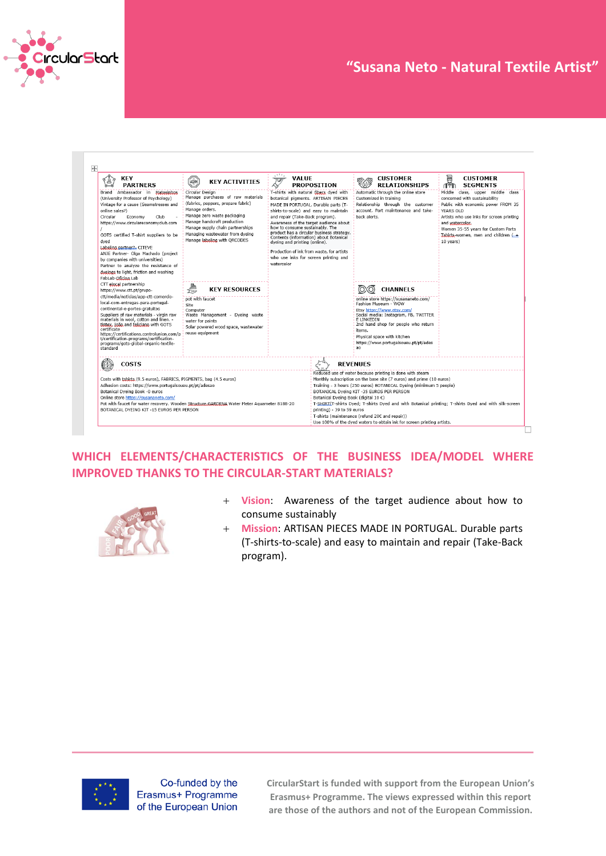

# **Case Study – "Title" "Susana Neto - Natural Textile Artist"**

| <b>KEY</b><br><b>PARTNERS</b>                                                                                                                                                                                                                                                                                                                                                                                                                                            | HORK<br><b>KEY ACTIVITIES</b>                                                                                                                                                                                                                                                     | $\mathcal{L}^{1,1}$<br><b>VALUE</b><br>四<br><b>PROPOSITION</b><br>٨v                                                                                                                                                                                                                                                                                                                                                                                                                                    | <b>CUSTOMER</b><br><b>RELATIONSHIPS</b>                                                                                                                                                                                                                                                                                                                                                                                                                                                                                                            | U<br><b>CUSTOMER</b><br>1Ť<br><b>SEGMENTS</b>                                                                                                                                                                                                                                     |  |
|--------------------------------------------------------------------------------------------------------------------------------------------------------------------------------------------------------------------------------------------------------------------------------------------------------------------------------------------------------------------------------------------------------------------------------------------------------------------------|-----------------------------------------------------------------------------------------------------------------------------------------------------------------------------------------------------------------------------------------------------------------------------------|---------------------------------------------------------------------------------------------------------------------------------------------------------------------------------------------------------------------------------------------------------------------------------------------------------------------------------------------------------------------------------------------------------------------------------------------------------------------------------------------------------|----------------------------------------------------------------------------------------------------------------------------------------------------------------------------------------------------------------------------------------------------------------------------------------------------------------------------------------------------------------------------------------------------------------------------------------------------------------------------------------------------------------------------------------------------|-----------------------------------------------------------------------------------------------------------------------------------------------------------------------------------------------------------------------------------------------------------------------------------|--|
| Brand Ambassador in Matosinhos<br>(University Professor of Psychology)<br>Vintage for a cause (Seamstresses and<br>online sales?)<br>Circular<br>Club<br>Economy<br>https://www.circulareconomyclub.com<br>GOTS certified T-shirt suppliers to be<br>dved<br>Labeling partner?- CITEVE<br>ANJE Partner- Olga Machado (project<br>by companies with universities)<br>Partner to analyze the resistance of<br>dveings to light, friction and washing<br>FabLab-Oficina.Lab | Circular Design<br>Manage purchases of raw materials<br>(fabrics, peppers, prepare fabric)<br>Manage orders.<br>Manage zero waste packaging<br>Manage handcraft production<br>Manage supply chain partnerships<br>Managing wastewater from dyeing<br>Manage labeling with ORCODES | T-shirts with natural fibers dyed with<br>botanical pigments. ARTISAN PIECES<br>MADE IN PORTUGAL. Durable parts (T-<br>shirts-to-scale) and easy to maintain<br>and repair (Take-Back program).<br>Awareness of the target audience about<br>how to consume sustainably. The<br>product has a circular business strategy.<br>Contents (information) about Botanical<br>dyeing and printing (online).<br>Production of ink from waste, for artists<br>who use inks for screen printing and<br>watercolor | Automatic through the online store<br>Customized in training<br>Relationship through the customer<br>account. Part maintenance and take-<br>hack alerts.                                                                                                                                                                                                                                                                                                                                                                                           | Middle class, upper middle class<br>concerned with sustainability<br>Public with economic power FROM 35<br>YEARS OLD<br>Artists who use inks for screen printing<br>and watercolor.<br>Women 35-55 years for Custom Parts<br>$Tshityr$ women, men and children $($ +<br>10 years) |  |
| CTT elocal partnership<br>https://www.ctt.pt/grupo-                                                                                                                                                                                                                                                                                                                                                                                                                      | ₩<br><b>KEY RESOURCES</b>                                                                                                                                                                                                                                                         |                                                                                                                                                                                                                                                                                                                                                                                                                                                                                                         | <b>CHANNELS</b>                                                                                                                                                                                                                                                                                                                                                                                                                                                                                                                                    |                                                                                                                                                                                                                                                                                   |  |
| ctt/media/noticias/app-ctt-comercio-<br>local-com-entregas-para-portugal-<br>continental-e-portes-gratuitos<br>Suppliers of raw materials - virgin raw<br>materials in wool, cotton and linen. -<br>tintex, joão and feliciano with GOTS<br>certificate<br>https://certifications.controlunion.com/p<br>t/certification-programs/certification-<br>programs/gots-global-organic-textile-<br>standard                                                                     | pot with faucet<br>Site<br>Computer<br>Waste Management - Dyeing waste<br>water for paints<br>Solar powered wood space, wastewater<br>reuse equipment                                                                                                                             |                                                                                                                                                                                                                                                                                                                                                                                                                                                                                                         | online store https://susananeto.com/<br><b>Fashion Museum - WOW</b><br>Etsy https://www.etsy.com/<br>Social media: Instagram, FB, TWITTER<br>E LINKEDIN<br>2nd hand shop for people who return<br>items.<br>Physical space with kitchen<br>https://www.portugalsoueu.pt/pt/ades<br>ao.                                                                                                                                                                                                                                                             |                                                                                                                                                                                                                                                                                   |  |
| <b>COSTS</b><br>Costs with tshirts (9.5 euros), FABRICS, PIGMENTS, bag (4.5 euros)<br>Adhesion costs: https://www.portugalsoueu.pt/pt/adesao<br>Botanical Dyeing Book -0 euros<br>Online store https://susananeto.com/<br>BOTANICAL DYEING KIT -15 EUROS PER PERSON                                                                                                                                                                                                      | Pot with faucet for water recovery. Wooden Structure, GARDENA Water Meter Aguameter 8188-20                                                                                                                                                                                       | printing) - 39 to 59 euros                                                                                                                                                                                                                                                                                                                                                                                                                                                                              | <b>REVENUES</b><br>Reduced use of water because printing is done with steam<br>Monthly subscription on the base site (7 euros) and prime (10 euros)<br>Training - 3 hours (250 euros) BOTANICAL Dyeing (minimum 5 people)<br>BOTANICAL Dyeing KIT -35 EUROS PER PERSON<br>Botanical Dveing Book (digital 10 €)<br>T-SHIRTLT-shirts Dved: T-shirts Dved and with Botanical printing: T-shirts Dved and with silk-screen<br>T-shirts (maintenance (refund 20€ and repair))<br>Use 100% of the dyed waters to obtain ink for screen printing artists. |                                                                                                                                                                                                                                                                                   |  |

## **WHICH ELEMENTS/CHARACTERISTICS OF THE BUSINESS IDEA/MODEL WHERE IMPROVED THANKS TO THE CIRCULAR-START MATERIALS?**



- + **Vision**: Awareness of the target audience about how to consume sustainably
- + **Mission**: ARTISAN PIECES MADE IN PORTUGAL. Durable parts (T-shirts-to-scale) and easy to maintain and repair (Take-Back program).



Co-funded by the Erasmus+ Programme of the European Union